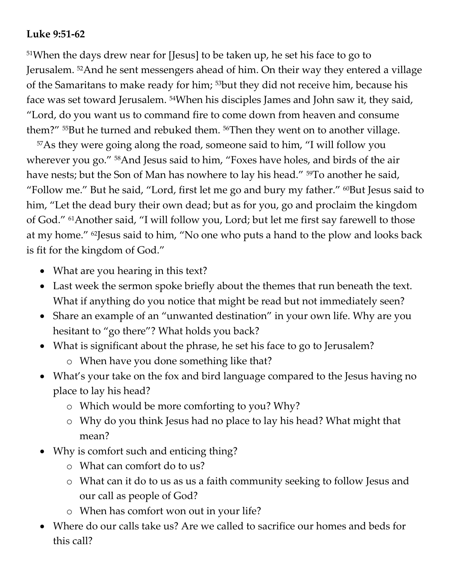## **Luke 9:51-62**

<sup>51</sup>When the days drew near for [Jesus] to be taken up, he set his face to go to Jerusalem. <sup>52</sup>And he sent messengers ahead of him. On their way they entered a village of the Samaritans to make ready for him; <sup>53</sup>but they did not receive him, because his face was set toward Jerusalem. <sup>54</sup>When his disciples James and John saw it, they said, "Lord, do you want us to command fire to come down from heaven and consume them?" <sup>55</sup>But he turned and rebuked them. <sup>56</sup>Then they went on to another village.

<sup>57</sup>As they were going along the road, someone said to him, "I will follow you wherever you go." <sup>58</sup>And Jesus said to him, "Foxes have holes, and birds of the air have nests; but the Son of Man has nowhere to lay his head." <sup>59</sup>To another he said, "Follow me." But he said, "Lord, first let me go and bury my father." <sup>60</sup>But Jesus said to him, "Let the dead bury their own dead; but as for you, go and proclaim the kingdom of God." <sup>61</sup>Another said, "I will follow you, Lord; but let me first say farewell to those at my home." <sup>62</sup>Jesus said to him, "No one who puts a hand to the plow and looks back is fit for the kingdom of God."

- What are you hearing in this text?
- Last week the sermon spoke briefly about the themes that run beneath the text. What if anything do you notice that might be read but not immediately seen?
- Share an example of an "unwanted destination" in your own life. Why are you hesitant to "go there"? What holds you back?
- What is significant about the phrase, he set his face to go to Jerusalem?
	- o When have you done something like that?
- What's your take on the fox and bird language compared to the Jesus having no place to lay his head?
	- o Which would be more comforting to you? Why?
	- o Why do you think Jesus had no place to lay his head? What might that mean?
- Why is comfort such and enticing thing?
	- o What can comfort do to us?
	- o What can it do to us as us a faith community seeking to follow Jesus and our call as people of God?
	- o When has comfort won out in your life?
- Where do our calls take us? Are we called to sacrifice our homes and beds for this call?